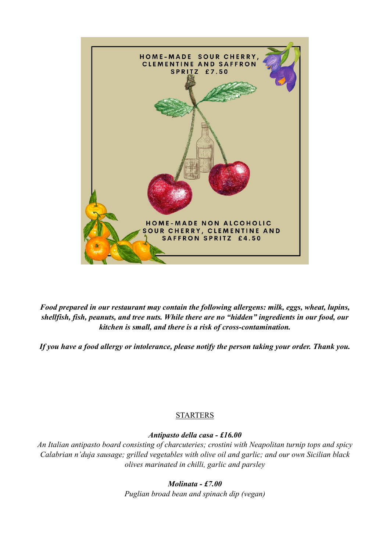

*Food prepared in our restaurant may contain the following allergens: milk, eggs, wheat, lupins, shellfish, fish, peanuts, and tree nuts. While there are no "hidden" ingredients in our food, our kitchen is small, and there is a risk of cross-contamination.* 

*If you have a food allergy or intolerance, please notify the person taking your order. Thank you.* 

# STARTERS

# *Antipasto della casa - £16.00*

*An Italian antipasto board consisting of charcuteries; crostini with Neapolitan turnip tops and spicy Calabrian n'duja sausage; grilled vegetables with olive oil and garlic; and our own Sicilian black olives marinated in chilli, garlic and parsley* 

*Molinata - £7.00* 

*Puglian broad bean and spinach dip (vegan)*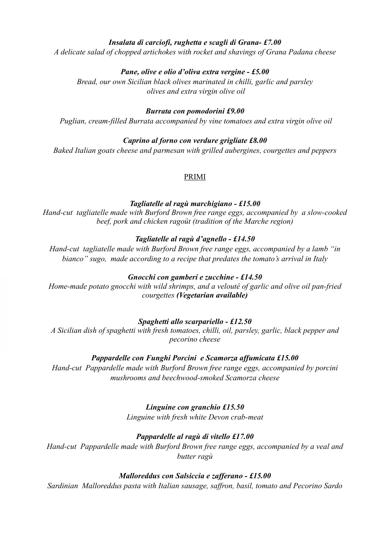# *Insalata di carciofi, rughetta e scagli di Grana- £7.00*

*A delicate salad of chopped artichokes with rocket and shavings of Grana Padana cheese* 

# *Pane, olive e olio d'oliva extra vergine - £5.00*

*Bread, our own Sicilian black olives marinated in chilli, garlic and parsley olives and extra virgin olive oil* 

### *Burrata con pomodorini £9.00*

 *Puglian, cream-filled Burrata accompanied by vine tomatoes and extra virgin olive oil* 

# *Caprino al forno con verdure grigliate £8.00*

*Baked Italian goats cheese and parmesan with grilled aubergines, courgettes and peppers* 

#### PRIMI

#### *Tagliatelle al ragù marchigiano - £15.00*

*Hand-cut tagliatelle made with Burford Brown free range eggs, accompanied by a slow-cooked beef, pork and chicken ragoût (tradition of the Marche region)* 

# *Tagliatelle al ragù d'agnello - £14.50*

*Hand-cut tagliatelle made with Burford Brown free range eggs, accompanied by a lamb "in bianco" sugo, made according to a recipe that predates the tomato's arrival in Italy* 

# *Gnocchi con gamberi e zucchine - £14.50*

*Home-made potato gnocchi with wild shrimps, and a velouté of garlic and olive oil pan-fried courgettes (Vegetarian available)*

# *Spaghetti allo scarpariello - £12.50*

*A Sicilian dish of spaghetti with fresh tomatoes, chilli, oil, parsley, garlic, black pepper and pecorino cheese* 

# *Pappardelle con Funghi Porcini e Scamorza affumicata £15.00*

*Hand-cut Pappardelle made with Burford Brown free range eggs, accompanied by porcini mushrooms and beechwood-smoked Scamorza cheese* 

# *Linguine con granchio £15.50*

*Linguine with fresh white Devon crab-meat* 

# *Pappardelle al ragù di vitello £17.00*

*Hand-cut Pappardelle made with Burford Brown free range eggs, accompanied by a veal and butter ragù* 

# *Malloreddus con Salsiccia e zafferano - £15.00*

*Sardinian Malloreddus pasta with Italian sausage, saffron, basil, tomato and Pecorino Sardo*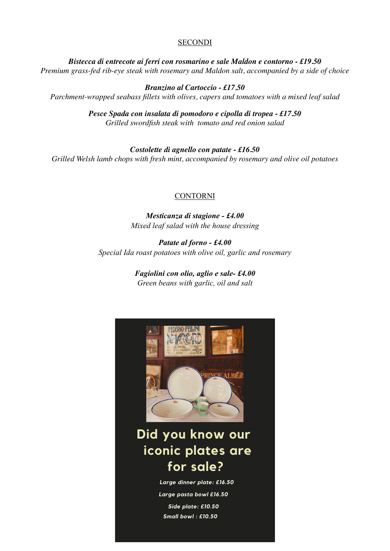#### **SECONDI**

*Bistecca di entrecote ai ferri con rosmarino e sale Maldon e contorno - £19.50 Premium grass-fed rib-eye steak with rosemary and Maldon salt, accompanied by a side of choice*

*Branzino al Cartoccio - £17.50 Parchment-wrapped seabass fillets with olives, capers and tomatoes with a mixed leaf salad*

> *Pesce Spada con insalata di pomodoro e cipolla di tropea - £17.50 Grilled swordfish steak with tomato and red onion salad*

*Costolette di agnello con patate - £16.50 Grilled Welsh lamb chops with fresh mint, accompanied by rosemary and olive oil potatoes*

#### CONTORNI

*Mesticanza di stagione - £4.00 Mixed leaf salad with the house dressing* 

*Patate al forno - £4.00 Special Ida roast potatoes with olive oil, garlic and rosemary* 

> *Fagiolini con olio, aglio e sale- £4.00 Green beans with garlic, oil and salt*

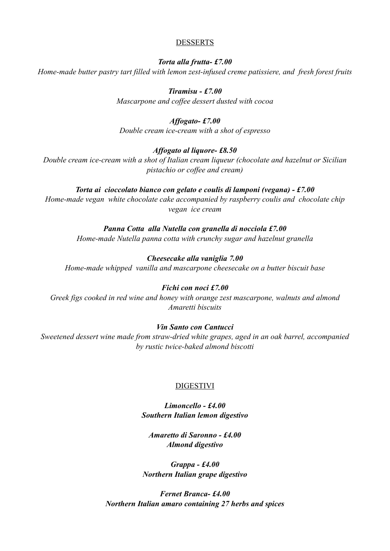#### DESSERTS

*Torta alla frutta- £7.00 Home-made butter pastry tart filled with lemon zest-infused creme patissiere, and fresh forest fruits* 

> *Tiramisu - £7.00 Mascarpone and coffee dessert dusted with cocoa*

#### *Affogato- £7.00*

*Double cream ice-cream with a shot of espresso* 

#### *Affogato al liquore- £8.50*

*Double cream ice-cream with a shot of Italian cream liqueur (chocolate and hazelnut or Sicilian pistachio or coffee and cream)* 

#### *Torta ai cioccolato bianco con gelato e coulis di lamponi (vegana) - £7.00*

*Home-made vegan white chocolate cake accompanied by raspberry coulis and chocolate chip vegan ice cream* 

#### *Panna Cotta alla Nutella con granella di nocciola £7.00*

*Home-made Nutella panna cotta with crunchy sugar and hazelnut granella* 

#### *Cheesecake alla vaniglia 7.00*

*Home-made whipped vanilla and mascarpone cheesecake on a butter biscuit base* 

#### *Fichi con noci £7.00*

*Greek figs cooked in red wine and honey with orange zest mascarpone, walnuts and almond Amaretti biscuits* 

#### *Vin Santo con Cantucci*

*Sweetened dessert wine made from straw-dried white grapes, aged in an oak barrel, accompanied by rustic twice-baked almond biscotti* 

#### DIGESTIVI

*Limoncello - £4.00 Southern Italian lemon digestivo* 

*Amaretto di Saronno - £4.00 Almond digestivo* 

*Grappa - £4.00 Northern Italian grape digestivo* 

*Fernet Branca- £4.00 Northern Italian amaro containing 27 herbs and spices*